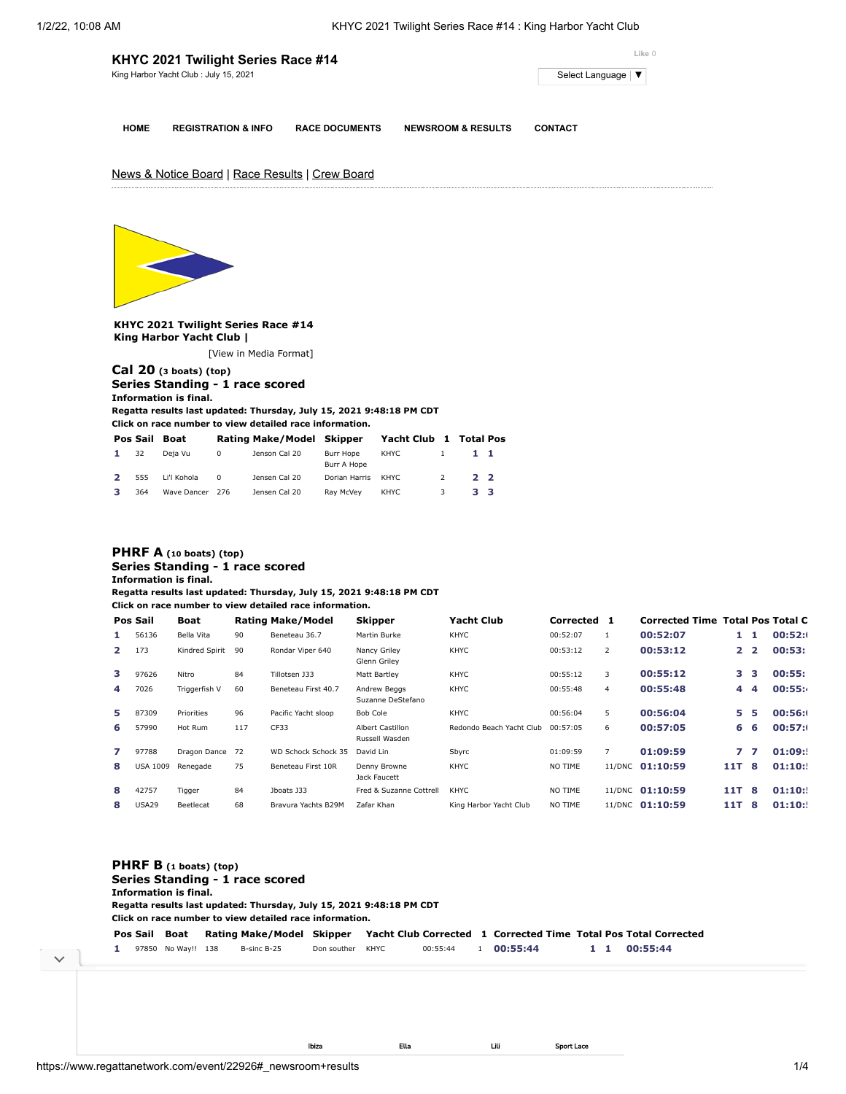| KHYC 2021 Twilight Series Race #14    | Like 0                         |                       |                               |                |
|---------------------------------------|--------------------------------|-----------------------|-------------------------------|----------------|
| King Harbor Yacht Club: July 15, 2021 | Select Language   ▼            |                       |                               |                |
| <b>HOME</b>                           | <b>REGISTRATION &amp; INFO</b> | <b>RACE DOCUMENTS</b> | <b>NEWSROOM &amp; RESULTS</b> | <b>CONTACT</b> |

News & Notice Board | Race Results | Crew Board



**KHYC 2021 Twilight Series Race #14 King Harbor Yacht Club |**

[\[View in Media Format](https://www.regattanetwork.com/clubmgmt/applet_regatta_results.php?regatta_id=22926&show_manufacturer=1&show_crew=1&media_format=1)]

**[Cal 20](https://www.regattanetwork.com/clubmgmt/applet_regatta_results.php?regatta_id=22926&show_manufacturer=1&show_crew=1&limit_fleet=Cal+20) (3 boats) (top) Series Standing - 1 race scored Information is final.**

**Regatta results last updated: Thursday, July 15, 2021 9:48:18 PM CDT**

**Click on race number to view detailed race information.**

|              |     | Pos Sail Boat   |          | Rating Make/Model Skipper Yacht Club 1 Total Pos |                          |       |                |     |  |
|--------------|-----|-----------------|----------|--------------------------------------------------|--------------------------|-------|----------------|-----|--|
| $\mathbf{1}$ | 32  | Deja Vu         | 0        | Jenson Cal 20                                    | Burr Hope<br>Burr A Hope | KHYC  |                | 11  |  |
| $\mathbf{z}$ | 555 | Li'l Kohola     | $\Omega$ | Jensen Cal 20                                    | Dorian Harris            | KHYC. | $\overline{2}$ | 2 2 |  |
|              | 364 | Wave Dancer 276 |          | Jensen Cal 20                                    | Rav McVev                | KHYC  |                | 33  |  |

## **[PHRF A](https://www.regattanetwork.com/clubmgmt/applet_regatta_results.php?regatta_id=22926&show_manufacturer=1&show_crew=1&limit_fleet=PHRF+A) (10 boats) (top) Series Standing - 1 race scored Information is final.**

**Regatta results last updated: Thursday, July 15, 2021 9:48:18 PM CDT**

| Click on race number to view detailed race information. |  |  |
|---------------------------------------------------------|--|--|
|---------------------------------------------------------|--|--|

|              | Pos Sail        | Boat           |     | <b>Rating Make/Model</b> | <b>Skipper</b>                     | <b>Yacht Club</b>        | Corrected 1 |                | <b>Corrected Time Total Pos Total C</b> |     |                |        |
|--------------|-----------------|----------------|-----|--------------------------|------------------------------------|--------------------------|-------------|----------------|-----------------------------------------|-----|----------------|--------|
|              | 56136           | Bella Vita     | 90  | Beneteau 36.7            | Martin Burke                       | <b>KHYC</b>              | 00:52:07    |                | 00:52:07                                | 1.  | $\mathbf{1}$   | 00:52: |
| $\mathbf{2}$ | 173             | Kindred Spirit | 90  | Rondar Viper 640         | Nancy Griley<br>Glenn Griley       | <b>KHYC</b>              | 00:53:12    | $\overline{2}$ | 00:53:12                                | 2   | $\overline{2}$ | 00:53: |
| з            | 97626           | Nitro          | 84  | Tillotsen J33            | Matt Bartley                       | <b>KHYC</b>              | 00:55:12    | 3              | 00:55:12                                | з   | з              | 00:55: |
| 4            | 7026            | Triggerfish V  | 60  | Beneteau First 40.7      | Andrew Beggs<br>Suzanne DeStefano  | <b>KHYC</b>              | 00:55:48    | $\overline{4}$ | 00:55:48                                | 4   | 4              | 00:55: |
| 5            | 87309           | Priorities     | 96  | Pacific Yacht sloop      | Bob Cole                           | <b>KHYC</b>              | 00:56:04    | 5              | 00:56:04                                | 5   | 5              | 00:56: |
| 6            | 57990           | Hot Rum        | 117 | CF33                     | Albert Castillon<br>Russell Wasden | Redondo Beach Yacht Club | 00:57:05    | 6              | 00:57:05                                | 6   | 6              | 00:57: |
| 7            | 97788           | Dragon Dance   | 72  | WD Schock Schock 35      | David Lin                          | Sbyrc                    | 01:09:59    | $\overline{7}$ | 01:09:59                                | 7   | -7             | 01:09: |
| 8            | <b>USA 1009</b> | Renegade       | 75  | Beneteau First 10R       | Denny Browne<br>Jack Faucett       | <b>KHYC</b>              | NO TIME     |                | 11/DNC 01:10:59                         | 11T | 8              | 01:10: |
| 8            | 42757           | Tigger         | 84  | Jboats J33               | Fred & Suzanne Cottrell            | <b>KHYC</b>              | NO TIME     |                | 11/DNC 01:10:59                         | 11T | -8             | 01:10: |
| 8            | <b>USA29</b>    | Beetlecat      | 68  | Bravura Yachts B29M      | Zafar Khan                         | King Harbor Yacht Club   | NO TIME     |                | 11/DNC 01:10:59                         | 11T | 8              | 01:10: |

|                                 | <b>PHRF B</b> $(1 \text{ boats})$ $(\text{top})$ |                    |  |                                                                      |             |      |          |  |                                                                                           |  |  |          |  |
|---------------------------------|--------------------------------------------------|--------------------|--|----------------------------------------------------------------------|-------------|------|----------|--|-------------------------------------------------------------------------------------------|--|--|----------|--|
| Series Standing - 1 race scored |                                                  |                    |  |                                                                      |             |      |          |  |                                                                                           |  |  |          |  |
|                                 | Information is final.                            |                    |  |                                                                      |             |      |          |  |                                                                                           |  |  |          |  |
|                                 |                                                  |                    |  | Regatta results last updated: Thursday, July 15, 2021 9:48:18 PM CDT |             |      |          |  |                                                                                           |  |  |          |  |
|                                 |                                                  |                    |  | Click on race number to view detailed race information.              |             |      |          |  |                                                                                           |  |  |          |  |
|                                 |                                                  | Pos Sail Boat      |  |                                                                      |             |      |          |  | Rating Make/Model Skipper Yacht Club Corrected 1 Corrected Time Total Pos Total Corrected |  |  |          |  |
|                                 |                                                  | 97850 No Way!! 138 |  | B-sinc B-25                                                          | Don souther | KHYC | 00:55:44 |  | 00:55:44                                                                                  |  |  | 00:55:44 |  |

 $\vee$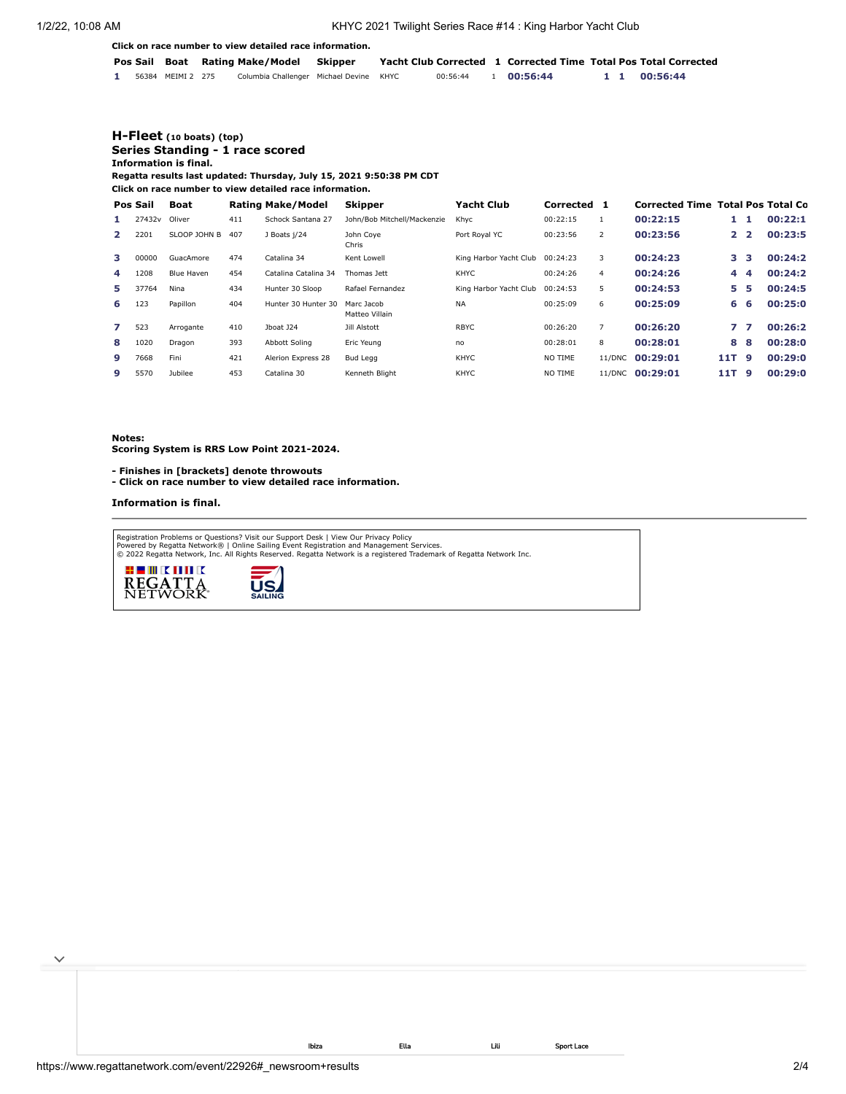**Click on race number to view detailed race information.**

|  |                   | Pos Sail Boat Rating Make/Model Skipper |  |                     |  |  | Yacht Club Corrected 1 Corrected Time Total Pos Total Corrected |
|--|-------------------|-----------------------------------------|--|---------------------|--|--|-----------------------------------------------------------------|
|  | 56384 MEIMI 2 275 | Columbia Challenger Michael Devine KHYC |  | 00:56:44 1 00:56:44 |  |  | 1 1 00:56:44                                                    |

## **[H-Fleet](https://www.regattanetwork.com/clubmgmt/applet_regatta_results.php?regatta_id=22926&show_manufacturer=1&show_crew=1&limit_fleet=H-Fleet) (10 boats) (top) Series Standing - 1 race scored Information is final.**

**Regatta results last updated: Thursday, July 15, 2021 9:50:38 PM CDT**

**Click on race number to view detailed race information.**

|    | Pos Sail | Boat         |     | <b>Rating Make/Model</b> | <b>Skipper</b>               | <b>Yacht Club</b>      | Corrected 1 |                | <b>Corrected Time Total Pos Total Co.</b> |                |                |         |
|----|----------|--------------|-----|--------------------------|------------------------------|------------------------|-------------|----------------|-------------------------------------------|----------------|----------------|---------|
|    | 27432v   | Oliver       | 411 | Schock Santana 27        | John/Bob Mitchell/Mackenzie  | Khyc                   | 00:22:15    |                | 00:22:15                                  | 1              | 1.             | 00:22:1 |
| 2. | 2201     | SLOOP JOHN B | 407 | J Boats i/24             | John Cove<br>Chris           | Port Roval YC          | 00:23:56    | 2              | 00:23:56                                  | $\mathbf{2}$   | $\overline{2}$ | 00:23:5 |
| з. | 00000    | GuacAmore    | 474 | Catalina 34              | Kent Lowell                  | King Harbor Yacht Club | 00:24:23    | 3              | 00:24:23                                  | 3.             | з              | 00:24:2 |
| 4  | 1208     | Blue Haven   | 454 | Catalina Catalina 34     | Thomas lett                  | <b>KHYC</b>            | 00:24:26    | $\overline{4}$ | 00:24:26                                  | 4              | 4              | 00:24:2 |
| 5. | 37764    | Nina         | 434 | Hunter 30 Sloop          | Rafael Fernandez             | King Harbor Yacht Club | 00:24:53    | 5              | 00:24:53                                  | 5.             | 5              | 00:24:5 |
| 6. | 123      | Papillon     | 404 | Hunter 30 Hunter 30      | Marc Jacob<br>Matteo Villain | <b>NA</b>              | 00:25:09    | 6              | 00:25:09                                  | 6              | 6              | 00:25:0 |
|    | 523      | Arrogante    | 410 | Jboat J24                | Jill Alstott                 | <b>RBYC</b>            | 00:26:20    | $\overline{7}$ | 00:26:20                                  | $\overline{ }$ | $\overline{z}$ | 00:26:2 |
| 8  | 1020     | Dragon       | 393 | <b>Abbott Soling</b>     | Eric Yeung                   | no                     | 00:28:01    | 8              | 00:28:01                                  | 8              | 8              | 00:28:0 |
| 9  | 7668     | Fini         | 421 | Alerion Express 28       | Bud Legg                     | <b>KHYC</b>            | NO TIME     | 11/DNC         | 00:29:01                                  | 11T            | -9             | 00:29:0 |
| q  | 5570     | Jubilee      | 453 | Catalina 30              | Kenneth Blight               | <b>KHYC</b>            | NO TIME     | 11/DNC         | 00:29:01                                  | 11T 9          |                | 00:29:0 |

[Ibiza](https://cat.da.us.criteo.com/m/delivery/ck.php?cppv=3&cpp=okzC7yKtRr_WsxhOTPBX_NxaKjeb3EZG1XiOnOtpqA9GhlQhwgrHFp14CdMhEfowP753zYRvqHV9KSzyOhulED5VCjAA2_eSXqH_25iiyQj1lYsu0EMvsGVFXEg2m4lVWW7yRugnSX5nUNfVjB7kZYszhA7EUKs3-Qogp6xxqV_VtBKqS1T_WK3pLu_P9Br-BpbeQtkJYbnMoVQjZZvRYTo6gb7PkmfRXlfkxm59EJP6lJYGkKt8wEMccMcbkPaEGq5c-HTR88SRSCWgMwA7UuUCiIgu5LLdf7SSKGki6CYgMbLGfXrLtmKbN7L_SrXlCLEVRVoEej5r_a61241pEkbspanR66c86aCCxvwVbgMCJu1_GKac90znOBP4gSNgKQpve5XGr2NIFYVceNofXxdKikzkzGjGz4jD0nV9uyMvZlUtJNnlybwzLZKcNNqwzekwVtSCwgSJAFRpQlcioCCRQLhkJibyd8l6JNWEmwgLqfdk&maxdest=https%3A%2F%2Fmagnanni.com%2Fibiza%3Futm_source%3Dcriteo%26utm_medium%3Ddisplay%26utm_campaign%3DWeb%2520Traffic%2520-%2520Oct%252021%252C%25202021%2520) [Ella](https://cat.da.us.criteo.com/m/delivery/ck.php?cppv=3&cpp=CwqxoSKtRr_WsxhOTPBX_NxaKjeb3EZG1XiOnOtpqA9GhlQhwgrHFp14CdMhEfowP753zYRvqHV9KSzyOhulED5VCjAA2_eSXqH_25iiyQj1lYsu0EMvsGVFXEg2m4lVWW7yRugnSX5nUNfVjB7kZYszhA4HGZqupjL9OEKz_6y_TMez28Cr0s8n8zxXM8GsEogf9Duu1K7q1V7tk-wAHyTcuMwHSsaJitNhVUnBzWeqM-xkyILFIz27B2DIYy-wgnmFsxeofFC2LqGZsnC5voavPNsLwOdFSZvR2G7DjCCkKsIW8M__6HwNtYQgpBhqmIzOsEDmrZAe1V398srFsEC2DHoVfVC6KtbUMnKuMfePAZLc1oNgqyfmgiAaqW7fDZLJrNb6g6aqCDz32tWGeoep8tD-R2J4LFyiBlJvUlKEo58R5CUO5cxInX0bp68Oy0KQVR_5d-XfcTbcZ7GX2xrKsWytJYE2jAvNapjGt6gBKGIO&maxdest=https%3A%2F%2Fmagnanni.com%2Fella%3Futm_source%3Dcriteo%26utm_medium%3Ddisplay%26utm_campaign%3DWeb%2520Traffic%2520-%2520Oct%252021%252C%25202021%2520) [Lili](https://cat.da.us.criteo.com/m/delivery/ck.php?cppv=3&cpp=5LNzdSKtRr_WsxhOTPBX_NxaKjeb3EZG1XiOnOtpqA9GhlQhwgrHFp14CdMhEfowP753zYRvqHV9KSzyOhulED5VCjAA2_eSXqH_25iiyQj1lYsu0EMvsGVFXEg2m4lVWW7yRugnSX5nUNfVjB7kZYszhA7nNbo0CE140-YWWz7RJNbIyg_OFLcSKJePMYppvHItSiudMGEVrkQ__DUW3sxVkR-2hkDY_zG7M6F8rSRzKHev5rQK8WdSt1l3ixfF45Iug5l6HertHlwm6ZCQCfQRTnHRgPYPJhg5dpQ3-5IrdrZzbpcTaCxye9vPlFMHznIkv0sRazRn0GRTTYVNKf08x4tQzWYSlhr2SdvmZhecDIL1hu6Vbj6m7dMMBN8oI79iyaArgLH8GPbNIPDcrXvZ1iDL9KR5SJfkUiePyfnVvH4O5RZ5QJ4TMbGT8MRSN5uicmovdj14MgbCP05JEV7YCj60WZiSyVXQjFAAi_PaQhas&maxdest=https%3A%2F%2Fmagnanni.com%2Flili%3Futm_source%3Dcriteo%26utm_medium%3Ddisplay%26utm_campaign%3DWeb%2520Traffic%2520-%2520Oct%252021%252C%25202021%2520) [Sport Lace](https://cat.da.us.criteo.com/m/delivery/ck.php?cppv=3&cpp=ArcfAiKtRr_WsxhOTPBX_NxaKjeb3EZG1XiOnOtpqA9GhlQhwgrHFp14CdMhEfowP753zYRvqHV9KSzyOhulED5VCjAA2_eSXqH_25iiyQj1lYsu0EMvsGVFXEg2m4lVWW7yRugnSX5nUNfVjB7kZYszhA6PhvYva-0OkxF0iOCvdby24Hq7ifhV7OKjP74TU4BVkhmgjWb5tr7SkZL7nyf88S0smStbccbJh_u4ezc9nJw__OwFksFuEG6PxKI_04Zph7csuMdCHkMFg5MAhuh3cIw4xgJfts8x06kGTxis-lW3ga5cBB3_r0TwSJywtTn0fBv8Xft_-r5uBg9wXVxIwm_8Z4v-0nm8YxUIGKoLRMoPHwTrD6Zt4w70hnY1bTkYbWmHmZSeXE2ktnfvYctsBsceNOT8Q2COZ-1_kZ9KMkiKY3MNchGqMb7C2nuTYH0GgNzf9PUn9pNf5O1zdXJcgsgYHnYe2DziTb2z6OvDdC5k&maxdest=https%3A%2F%2Fmagnanni.com%2Fsport-lace%3Futm_source%3Dcriteo%26utm_medium%3Ddisplay%26utm_campaign%3DWeb%2520Traffic%2520-%2520Oct%252021%252C%25202021%2520) [Lizandro](https://cat.da.us.criteo.com/m/delivery/ck.php?cppv=3&cpp=LYWgNSKtRr_WsxhOTPBX_NxaKjeb3EZG1XiOnOtpqA9GhlQhwgrHFp14CdMhEfowP753zYRvqHV9KSzyOhulED5VCjAA2_eSXqH_25iiyQj1lYsu0EMvsGVFXEg2m4lVWW7yRugnSX5nUNfVjB7kZYszhA7BhMyfttKooUaR5acWIUz4wjO14VWzysfNsFbevvEqIbPKIbkK08BsYo9OoXD3AuAz2MNsROcxeZ_2ua17hvyGsrvxd6Fa2h93zHf4rfMXexPRqqEUSAr63-UTSZCSMPU_Ie416wOOyghyhH9WVqiVnF27GKNCpD3SDatv6y72bCbA69T3_zEq9h4YrIlwbaEjRRz8mp2j87Q2SZra5vUOy7-6gknoftn3VN6K4_JDUBbpleCFf3eWk6b-CVlc5yRbVK6yp1Wc5Cnx3o8U_D1pHsMiLGCXwOKV1RjBFPbVi3kRcdk5wk6u_y0nku48wuveKG8hIuajFnwBvopaMT3O&maxdest=https%3A%2F%2Fmagnanni.com%2Flizandro%3Futm_source%3Dcriteo%26utm_medium%3Ddisplay%26utm_campaign%3DWeb%2520Traffic%2520-%2520Oct%252021%252C%25202021%2520) [Montana](https://cat.da.us.criteo.com/m/delivery/ck.php?cppv=3&cpp=7GACgCKtRr_WsxhOTPBX_NxaKjeb3EZG1XiOnOtpqA9GhlQhwgrHFp14CdMhEfowP753zYRvqHV9KSzyOhulED5VCjAA2_eSXqH_25iiyQj1lYsu0EMvsGVFXEg2m4lVWW7yRugnSX5nUNfVjB7kZYszhA5usNE7sTbFUz-4_VK0gf3N2Sz9Y_Ly9dUsxcjLjh7VV4-J9Bgsv0xKK5UqcY89FqQu-qv3egTpUNe71BwdALb169j7ceSi-JGu07STCi21PcUro93TKiZOZrl96Bibh0-z2lrMmAPvpxSaIC-VBB7IDf6JSexbbglV7vmieePPqKS9FLEZeowthUE9iCFzFbwOjJD3v_ar9SGs_VURIVZJPs-ycVYY2ChArcxmphSxD5tQ95-6gAj2_mu10rg0KUMNaGgYF2myjHQ5XqtTbjLpGpibhF7-tqH7PQO9jC1r-vZ_MUxok5UPU47CnHuZ4eY2E5uSF5WZrEe2cKh3846a&maxdest=https%3A%2F%2Fmagnanni.com%2Fmontana-iii%3Futm_source%3Dcriteo%26utm_medium%3Ddisplay%26utm_campaign%3DWeb%2520Traffic%2520-%2520Oct%252021%252C%25202021%2520) III

**Notes:**

**Scoring System is RRS Low Point 2021-2024.**

- **Finishes in [brackets] denote throwouts**
- **Click on race number to view detailed race information.**

## **Information is final.**

Registration Problems or Questions? [Visit our Support Desk](http://support.regattanetwork.com/) | [View Our Privacy Policy](https://www.regattanetwork.com/html/privacy.html)<br>[Powered by Regatta Network®](http://www.regattanetwork.com/) | Online Sailing Event Registration and Management Services.<br>© 2022 [Regatta Network,](http://www.regattanetwork.com/) Inc. All Rights Reserved





 $\checkmark$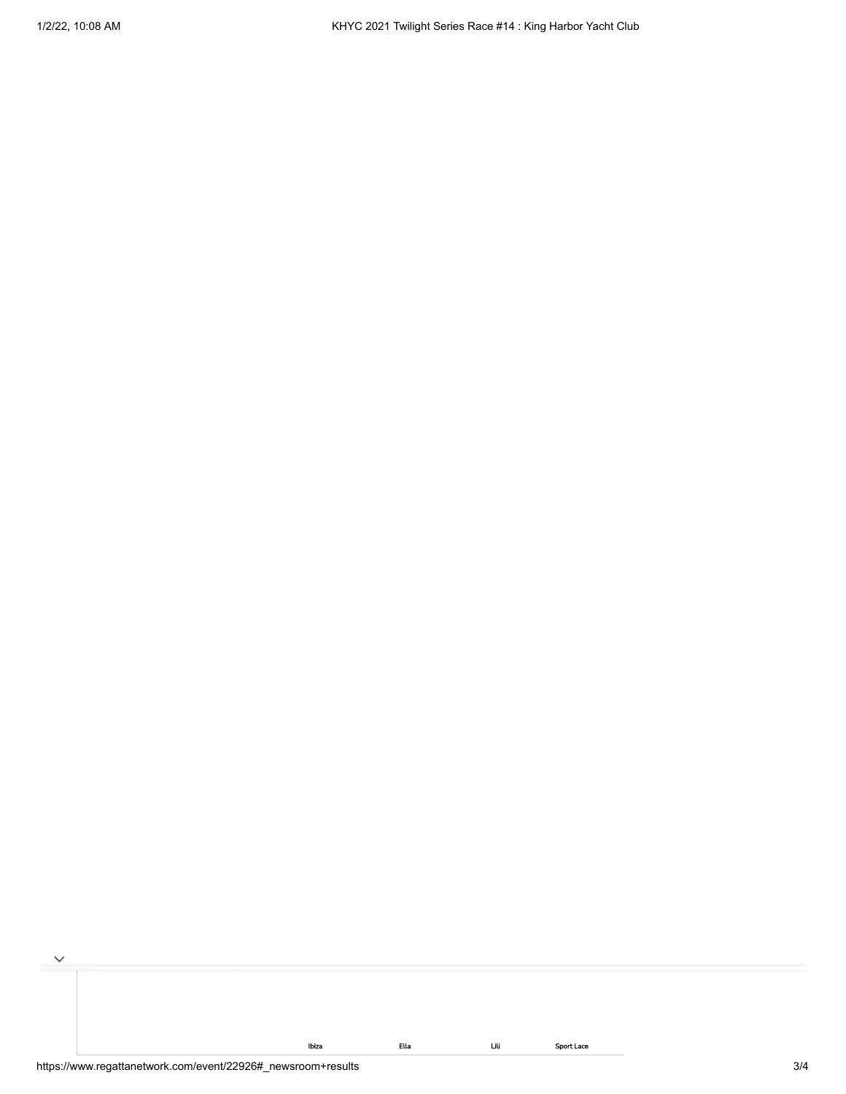[Ibiza](https://cat.da.us.criteo.com/m/delivery/ck.php?cppv=3&cpp=okzC7yKtRr_WsxhOTPBX_NxaKjeb3EZG1XiOnOtpqA9GhlQhwgrHFp14CdMhEfowP753zYRvqHV9KSzyOhulED5VCjAA2_eSXqH_25iiyQj1lYsu0EMvsGVFXEg2m4lVWW7yRugnSX5nUNfVjB7kZYszhA7EUKs3-Qogp6xxqV_VtBKqS1T_WK3pLu_P9Br-BpbeQtkJYbnMoVQjZZvRYTo6gb7PkmfRXlfkxm59EJP6lJYGkKt8wEMccMcbkPaEGq5c-HTR88SRSCWgMwA7UuUCiIgu5LLdf7SSKGki6CYgMbLGfXrLtmKbN7L_SrXlCLEVRVoEej5r_a61241pEkbspanR66c86aCCxvwVbgMCJu1_GKac90znOBP4gSNgKQpve5XGr2NIFYVceNofXxdKikzkzGjGz4jD0nV9uyMvZlUtJNnlybwzLZKcNNqwzekwVtSCwgSJAFRpQlcioCCRQLhkJibyd8l6JNWEmwgLqfdk&maxdest=https%3A%2F%2Fmagnanni.com%2Fibiza%3Futm_source%3Dcriteo%26utm_medium%3Ddisplay%26utm_campaign%3DWeb%2520Traffic%2520-%2520Oct%252021%252C%25202021%2520) [Ella](https://cat.da.us.criteo.com/m/delivery/ck.php?cppv=3&cpp=CwqxoSKtRr_WsxhOTPBX_NxaKjeb3EZG1XiOnOtpqA9GhlQhwgrHFp14CdMhEfowP753zYRvqHV9KSzyOhulED5VCjAA2_eSXqH_25iiyQj1lYsu0EMvsGVFXEg2m4lVWW7yRugnSX5nUNfVjB7kZYszhA4HGZqupjL9OEKz_6y_TMez28Cr0s8n8zxXM8GsEogf9Duu1K7q1V7tk-wAHyTcuMwHSsaJitNhVUnBzWeqM-xkyILFIz27B2DIYy-wgnmFsxeofFC2LqGZsnC5voavPNsLwOdFSZvR2G7DjCCkKsIW8M__6HwNtYQgpBhqmIzOsEDmrZAe1V398srFsEC2DHoVfVC6KtbUMnKuMfePAZLc1oNgqyfmgiAaqW7fDZLJrNb6g6aqCDz32tWGeoep8tD-R2J4LFyiBlJvUlKEo58R5CUO5cxInX0bp68Oy0KQVR_5d-XfcTbcZ7GX2xrKsWytJYE2jAvNapjGt6gBKGIO&maxdest=https%3A%2F%2Fmagnanni.com%2Fella%3Futm_source%3Dcriteo%26utm_medium%3Ddisplay%26utm_campaign%3DWeb%2520Traffic%2520-%2520Oct%252021%252C%25202021%2520) [Lili](https://cat.da.us.criteo.com/m/delivery/ck.php?cppv=3&cpp=5LNzdSKtRr_WsxhOTPBX_NxaKjeb3EZG1XiOnOtpqA9GhlQhwgrHFp14CdMhEfowP753zYRvqHV9KSzyOhulED5VCjAA2_eSXqH_25iiyQj1lYsu0EMvsGVFXEg2m4lVWW7yRugnSX5nUNfVjB7kZYszhA7nNbo0CE140-YWWz7RJNbIyg_OFLcSKJePMYppvHItSiudMGEVrkQ__DUW3sxVkR-2hkDY_zG7M6F8rSRzKHev5rQK8WdSt1l3ixfF45Iug5l6HertHlwm6ZCQCfQRTnHRgPYPJhg5dpQ3-5IrdrZzbpcTaCxye9vPlFMHznIkv0sRazRn0GRTTYVNKf08x4tQzWYSlhr2SdvmZhecDIL1hu6Vbj6m7dMMBN8oI79iyaArgLH8GPbNIPDcrXvZ1iDL9KR5SJfkUiePyfnVvH4O5RZ5QJ4TMbGT8MRSN5uicmovdj14MgbCP05JEV7YCj60WZiSyVXQjFAAi_PaQhas&maxdest=https%3A%2F%2Fmagnanni.com%2Flili%3Futm_source%3Dcriteo%26utm_medium%3Ddisplay%26utm_campaign%3DWeb%2520Traffic%2520-%2520Oct%252021%252C%25202021%2520) [Sport Lace](https://cat.da.us.criteo.com/m/delivery/ck.php?cppv=3&cpp=ArcfAiKtRr_WsxhOTPBX_NxaKjeb3EZG1XiOnOtpqA9GhlQhwgrHFp14CdMhEfowP753zYRvqHV9KSzyOhulED5VCjAA2_eSXqH_25iiyQj1lYsu0EMvsGVFXEg2m4lVWW7yRugnSX5nUNfVjB7kZYszhA6PhvYva-0OkxF0iOCvdby24Hq7ifhV7OKjP74TU4BVkhmgjWb5tr7SkZL7nyf88S0smStbccbJh_u4ezc9nJw__OwFksFuEG6PxKI_04Zph7csuMdCHkMFg5MAhuh3cIw4xgJfts8x06kGTxis-lW3ga5cBB3_r0TwSJywtTn0fBv8Xft_-r5uBg9wXVxIwm_8Z4v-0nm8YxUIGKoLRMoPHwTrD6Zt4w70hnY1bTkYbWmHmZSeXE2ktnfvYctsBsceNOT8Q2COZ-1_kZ9KMkiKY3MNchGqMb7C2nuTYH0GgNzf9PUn9pNf5O1zdXJcgsgYHnYe2DziTb2z6OvDdC5k&maxdest=https%3A%2F%2Fmagnanni.com%2Fsport-lace%3Futm_source%3Dcriteo%26utm_medium%3Ddisplay%26utm_campaign%3DWeb%2520Traffic%2520-%2520Oct%252021%252C%25202021%2520) [Lizandro](https://cat.da.us.criteo.com/m/delivery/ck.php?cppv=3&cpp=LYWgNSKtRr_WsxhOTPBX_NxaKjeb3EZG1XiOnOtpqA9GhlQhwgrHFp14CdMhEfowP753zYRvqHV9KSzyOhulED5VCjAA2_eSXqH_25iiyQj1lYsu0EMvsGVFXEg2m4lVWW7yRugnSX5nUNfVjB7kZYszhA7BhMyfttKooUaR5acWIUz4wjO14VWzysfNsFbevvEqIbPKIbkK08BsYo9OoXD3AuAz2MNsROcxeZ_2ua17hvyGsrvxd6Fa2h93zHf4rfMXexPRqqEUSAr63-UTSZCSMPU_Ie416wOOyghyhH9WVqiVnF27GKNCpD3SDatv6y72bCbA69T3_zEq9h4YrIlwbaEjRRz8mp2j87Q2SZra5vUOy7-6gknoftn3VN6K4_JDUBbpleCFf3eWk6b-CVlc5yRbVK6yp1Wc5Cnx3o8U_D1pHsMiLGCXwOKV1RjBFPbVi3kRcdk5wk6u_y0nku48wuveKG8hIuajFnwBvopaMT3O&maxdest=https%3A%2F%2Fmagnanni.com%2Flizandro%3Futm_source%3Dcriteo%26utm_medium%3Ddisplay%26utm_campaign%3DWeb%2520Traffic%2520-%2520Oct%252021%252C%25202021%2520) [Montana](https://cat.da.us.criteo.com/m/delivery/ck.php?cppv=3&cpp=7GACgCKtRr_WsxhOTPBX_NxaKjeb3EZG1XiOnOtpqA9GhlQhwgrHFp14CdMhEfowP753zYRvqHV9KSzyOhulED5VCjAA2_eSXqH_25iiyQj1lYsu0EMvsGVFXEg2m4lVWW7yRugnSX5nUNfVjB7kZYszhA5usNE7sTbFUz-4_VK0gf3N2Sz9Y_Ly9dUsxcjLjh7VV4-J9Bgsv0xKK5UqcY89FqQu-qv3egTpUNe71BwdALb169j7ceSi-JGu07STCi21PcUro93TKiZOZrl96Bibh0-z2lrMmAPvpxSaIC-VBB7IDf6JSexbbglV7vmieePPqKS9FLEZeowthUE9iCFzFbwOjJD3v_ar9SGs_VURIVZJPs-ycVYY2ChArcxmphSxD5tQ95-6gAj2_mu10rg0KUMNaGgYF2myjHQ5XqtTbjLpGpibhF7-tqH7PQO9jC1r-vZ_MUxok5UPU47CnHuZ4eY2E5uSF5WZrEe2cKh3846a&maxdest=https%3A%2F%2Fmagnanni.com%2Fmontana-iii%3Futm_source%3Dcriteo%26utm_medium%3Ddisplay%26utm_campaign%3DWeb%2520Traffic%2520-%2520Oct%252021%252C%25202021%2520) III

https://www.regattanetwork.com/event/22926#\_newsroom+results 3/4

 $\checkmark$